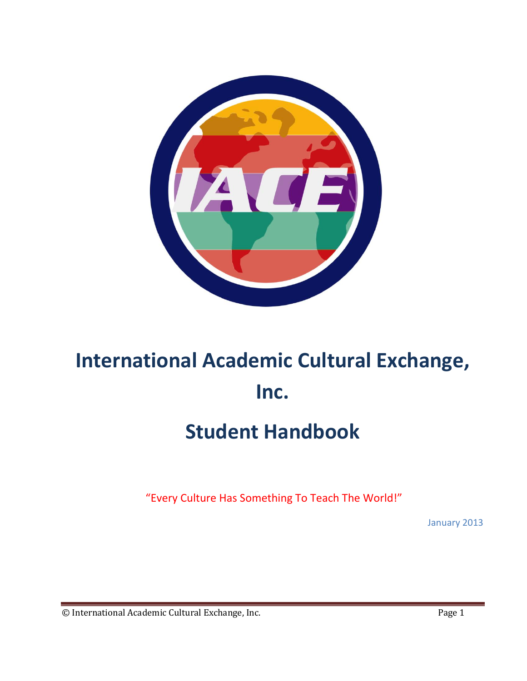

# **International Academic Cultural Exchange, Inc.**

# **Student Handbook**

"Every Culture Has Something To Teach The World!"

January 2013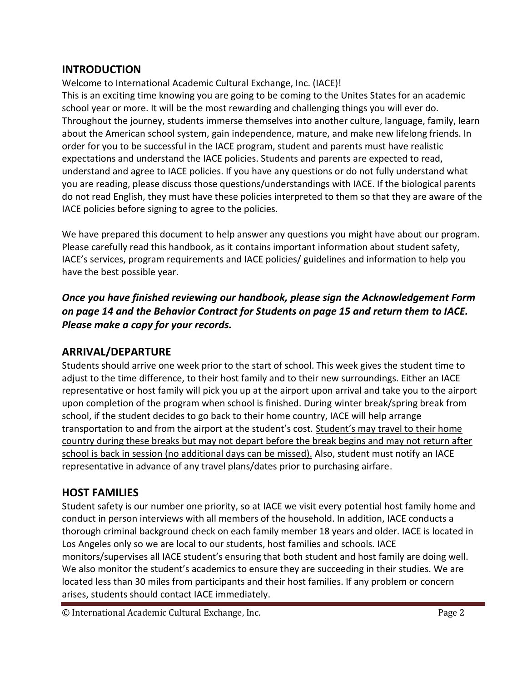#### **INTRODUCTION**

Welcome to International Academic Cultural Exchange, Inc. (IACE)! This is an exciting time knowing you are going to be coming to the Unites States for an academic school year or more. It will be the most rewarding and challenging things you will ever do. Throughout the journey, students immerse themselves into another culture, language, family, learn about the American school system, gain independence, mature, and make new lifelong friends. In order for you to be successful in the IACE program, student and parents must have realistic expectations and understand the IACE policies. Students and parents are expected to read, understand and agree to IACE policies. If you have any questions or do not fully understand what you are reading, please discuss those questions/understandings with IACE. If the biological parents do not read English, they must have these policies interpreted to them so that they are aware of the IACE policies before signing to agree to the policies.

We have prepared this document to help answer any questions you might have about our program. Please carefully read this handbook, as it contains important information about student safety, IACE's services, program requirements and IACE policies/ guidelines and information to help you have the best possible year.

*Once you have finished reviewing our handbook, please sign the Acknowledgement Form on page 14 and the Behavior Contract for Students on page 15 and return them to IACE. Please make a copy for your records.*

#### **ARRIVAL/DEPARTURE**

Students should arrive one week prior to the start of school. This week gives the student time to adjust to the time difference, to their host family and to their new surroundings. Either an IACE representative or host family will pick you up at the airport upon arrival and take you to the airport upon completion of the program when school is finished. During winter break/spring break from school, if the student decides to go back to their home country, IACE will help arrange transportation to and from the airport at the student's cost. Student's may travel to their home country during these breaks but may not depart before the break begins and may not return after school is back in session (no additional days can be missed). Also, student must notify an IACE representative in advance of any travel plans/dates prior to purchasing airfare.

#### **HOST FAMILIES**

Student safety is our number one priority, so at IACE we visit every potential host family home and conduct in person interviews with all members of the household. In addition, IACE conducts a thorough criminal background check on each family member 18 years and older. IACE is located in Los Angeles only so we are local to our students, host families and schools. IACE monitors/supervises all IACE student's ensuring that both student and host family are doing well. We also monitor the student's academics to ensure they are succeeding in their studies. We are located less than 30 miles from participants and their host families. If any problem or concern arises, students should contact IACE immediately.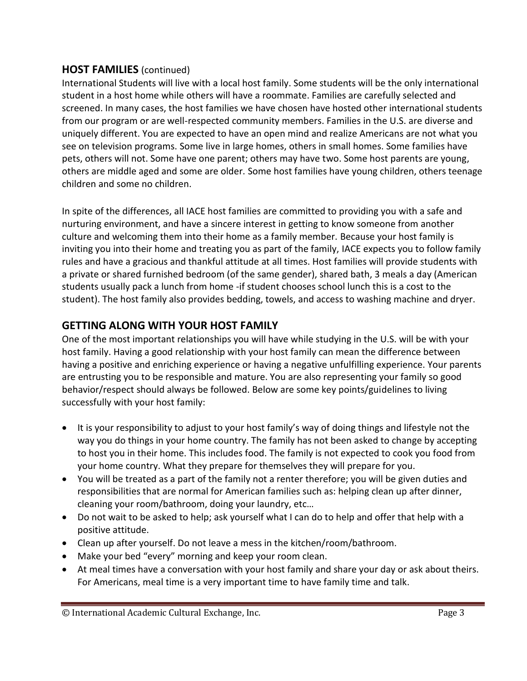#### **HOST FAMILIES** (continued)

International Students will live with a local host family. Some students will be the only international student in a host home while others will have a roommate. Families are carefully selected and screened. In many cases, the host families we have chosen have hosted other international students from our program or are well-respected community members. Families in the U.S. are diverse and uniquely different. You are expected to have an open mind and realize Americans are not what you see on television programs. Some live in large homes, others in small homes. Some families have pets, others will not. Some have one parent; others may have two. Some host parents are young, others are middle aged and some are older. Some host families have young children, others teenage children and some no children.

In spite of the differences, all IACE host families are committed to providing you with a safe and nurturing environment, and have a sincere interest in getting to know someone from another culture and welcoming them into their home as a family member. Because your host family is inviting you into their home and treating you as part of the family, IACE expects you to follow family rules and have a gracious and thankful attitude at all times. Host families will provide students with a private or shared furnished bedroom (of the same gender), shared bath, 3 meals a day (American students usually pack a lunch from home -if student chooses school lunch this is a cost to the student). The host family also provides bedding, towels, and access to washing machine and dryer.

### **GETTING ALONG WITH YOUR HOST FAMILY**

One of the most important relationships you will have while studying in the U.S. will be with your host family. Having a good relationship with your host family can mean the difference between having a positive and enriching experience or having a negative unfulfilling experience. Your parents are entrusting you to be responsible and mature. You are also representing your family so good behavior/respect should always be followed. Below are some key points/guidelines to living successfully with your host family:

- It is your responsibility to adjust to your host family's way of doing things and lifestyle not the way you do things in your home country. The family has not been asked to change by accepting to host you in their home. This includes food. The family is not expected to cook you food from your home country. What they prepare for themselves they will prepare for you.
- You will be treated as a part of the family not a renter therefore; you will be given duties and responsibilities that are normal for American families such as: helping clean up after dinner, cleaning your room/bathroom, doing your laundry, etc…
- Do not wait to be asked to help; ask yourself what I can do to help and offer that help with a positive attitude.
- Clean up after yourself. Do not leave a mess in the kitchen/room/bathroom.
- Make your bed "every" morning and keep your room clean.
- At meal times have a conversation with your host family and share your day or ask about theirs. For Americans, meal time is a very important time to have family time and talk.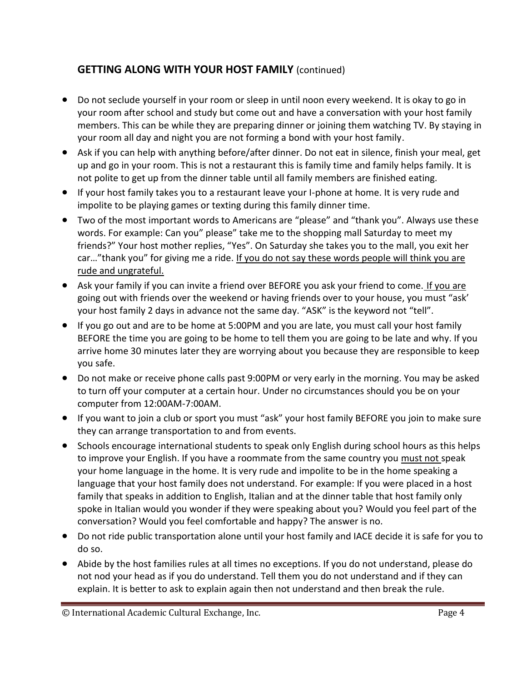### **GETTING ALONG WITH YOUR HOST FAMILY** (continued)

- Do not seclude yourself in your room or sleep in until noon every weekend. It is okay to go in your room after school and study but come out and have a conversation with your host family members. This can be while they are preparing dinner or joining them watching TV. By staying in your room all day and night you are not forming a bond with your host family.
- Ask if you can help with anything before/after dinner. Do not eat in silence, finish your meal, get up and go in your room. This is not a restaurant this is family time and family helps family. It is not polite to get up from the dinner table until all family members are finished eating.
- If your host family takes you to a restaurant leave your I-phone at home. It is very rude and impolite to be playing games or texting during this family dinner time.
- Two of the most important words to Americans are "please" and "thank you". Always use these words. For example: Can you" please" take me to the shopping mall Saturday to meet my friends?" Your host mother replies, "Yes". On Saturday she takes you to the mall, you exit her car…"thank you" for giving me a ride. If you do not say these words people will think you are rude and ungrateful.
- Ask your family if you can invite a friend over BEFORE you ask your friend to come. If you are going out with friends over the weekend or having friends over to your house, you must "ask' your host family 2 days in advance not the same day. "ASK" is the keyword not "tell".
- If you go out and are to be home at 5:00PM and you are late, you must call your host family BEFORE the time you are going to be home to tell them you are going to be late and why. If you arrive home 30 minutes later they are worrying about you because they are responsible to keep you safe.
- Do not make or receive phone calls past 9:00PM or very early in the morning. You may be asked to turn off your computer at a certain hour. Under no circumstances should you be on your computer from 12:00AM-7:00AM.
- If you want to join a club or sport you must "ask" your host family BEFORE you join to make sure they can arrange transportation to and from events.
- Schools encourage international students to speak only English during school hours as this helps to improve your English. If you have a roommate from the same country you must not speak your home language in the home. It is very rude and impolite to be in the home speaking a language that your host family does not understand. For example: If you were placed in a host family that speaks in addition to English, Italian and at the dinner table that host family only spoke in Italian would you wonder if they were speaking about you? Would you feel part of the conversation? Would you feel comfortable and happy? The answer is no.
- Do not ride public transportation alone until your host family and IACE decide it is safe for you to do so.
- Abide by the host families rules at all times no exceptions. If you do not understand, please do not nod your head as if you do understand. Tell them you do not understand and if they can explain. It is better to ask to explain again then not understand and then break the rule.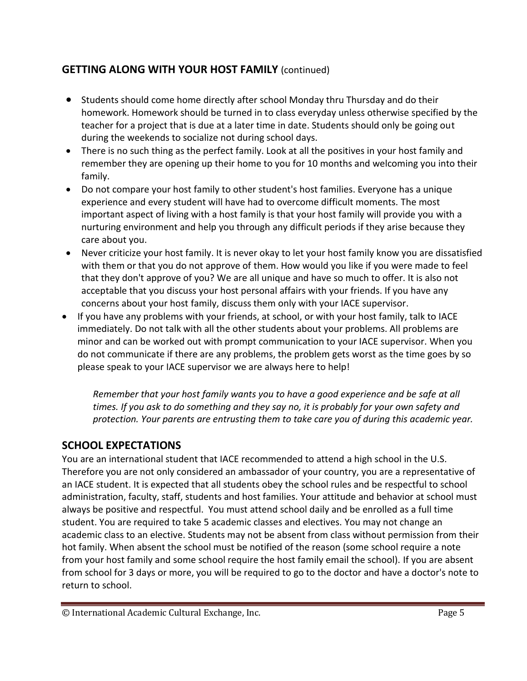### **GETTING ALONG WITH YOUR HOST FAMILY** (continued)

- Students should come home directly after school Monday thru Thursday and do their homework. Homework should be turned in to class everyday unless otherwise specified by the teacher for a project that is due at a later time in date. Students should only be going out during the weekends to socialize not during school days.
- There is no such thing as the perfect family. Look at all the positives in your host family and remember they are opening up their home to you for 10 months and welcoming you into their family.
- Do not compare your host family to other student's host families. Everyone has a unique experience and every student will have had to overcome difficult moments. The most important aspect of living with a host family is that your host family will provide you with a nurturing environment and help you through any difficult periods if they arise because they care about you.
- Never criticize your host family. It is never okay to let your host family know you are dissatisfied with them or that you do not approve of them. How would you like if you were made to feel that they don't approve of you? We are all unique and have so much to offer. It is also not acceptable that you discuss your host personal affairs with your friends. If you have any concerns about your host family, discuss them only with your IACE supervisor.
- If you have any problems with your friends, at school, or with your host family, talk to IACE immediately. Do not talk with all the other students about your problems. All problems are minor and can be worked out with prompt communication to your IACE supervisor. When you do not communicate if there are any problems, the problem gets worst as the time goes by so please speak to your IACE supervisor we are always here to help!

*Remember that your host family wants you to have a good experience and be safe at all times. If you ask to do something and they say no, it is probably for your own safety and protection. Your parents are entrusting them to take care you of during this academic year.*

# **SCHOOL EXPECTATIONS**

You are an international student that IACE recommended to attend a high school in the U.S. Therefore you are not only considered an ambassador of your country, you are a representative of an IACE student. It is expected that all students obey the school rules and be respectful to school administration, faculty, staff, students and host families. Your attitude and behavior at school must always be positive and respectful. You must attend school daily and be enrolled as a full time student. You are required to take 5 academic classes and electives. You may not change an academic class to an elective. Students may not be absent from class without permission from their hot family. When absent the school must be notified of the reason (some school require a note from your host family and some school require the host family email the school). If you are absent from school for 3 days or more, you will be required to go to the doctor and have a doctor's note to return to school.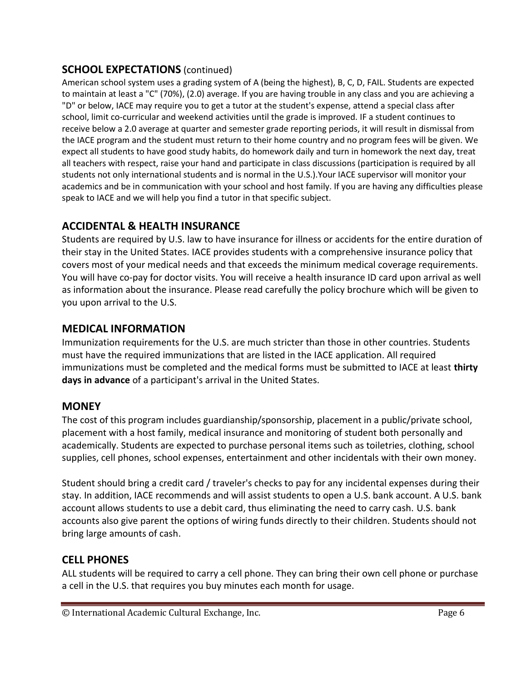#### **SCHOOL EXPECTATIONS** (continued)

American school system uses a grading system of A (being the highest), B, C, D, FAIL. Students are expected to maintain at least a "C" (70%), (2.0) average. If you are having trouble in any class and you are achieving a "D" or below, IACE may require you to get a tutor at the student's expense, attend a special class after school, limit co-curricular and weekend activities until the grade is improved. IF a student continues to receive below a 2.0 average at quarter and semester grade reporting periods, it will result in dismissal from the IACE program and the student must return to their home country and no program fees will be given. We expect all students to have good study habits, do homework daily and turn in homework the next day, treat all teachers with respect, raise your hand and participate in class discussions (participation is required by all students not only international students and is normal in the U.S.).Your IACE supervisor will monitor your academics and be in communication with your school and host family. If you are having any difficulties please speak to IACE and we will help you find a tutor in that specific subject.

### **ACCIDENTAL & HEALTH INSURANCE**

Students are required by U.S. law to have insurance for illness or accidents for the entire duration of their stay in the United States. IACE provides students with a comprehensive insurance policy that covers most of your medical needs and that exceeds the minimum medical coverage requirements. You will have co-pay for doctor visits. You will receive a health insurance ID card upon arrival as well as information about the insurance. Please read carefully the policy brochure which will be given to you upon arrival to the U.S.

#### **MEDICAL INFORMATION**

Immunization requirements for the U.S. are much stricter than those in other countries. Students must have the required immunizations that are listed in the IACE application. All required immunizations must be completed and the medical forms must be submitted to IACE at least **thirty days in advance** of a participant's arrival in the United States.

#### **MONEY**

The cost of this program includes guardianship/sponsorship, placement in a public/private school, placement with a host family, medical insurance and monitoring of student both personally and academically. Students are expected to purchase personal items such as toiletries, clothing, school supplies, cell phones, school expenses, entertainment and other incidentals with their own money.

Student should bring a credit card / traveler's checks to pay for any incidental expenses during their stay. In addition, IACE recommends and will assist students to open a U.S. bank account. A U.S. bank account allows students to use a debit card, thus eliminating the need to carry cash. U.S. bank accounts also give parent the options of wiring funds directly to their children. Students should not bring large amounts of cash.

#### **CELL PHONES**

ALL students will be required to carry a cell phone. They can bring their own cell phone or purchase a cell in the U.S. that requires you buy minutes each month for usage.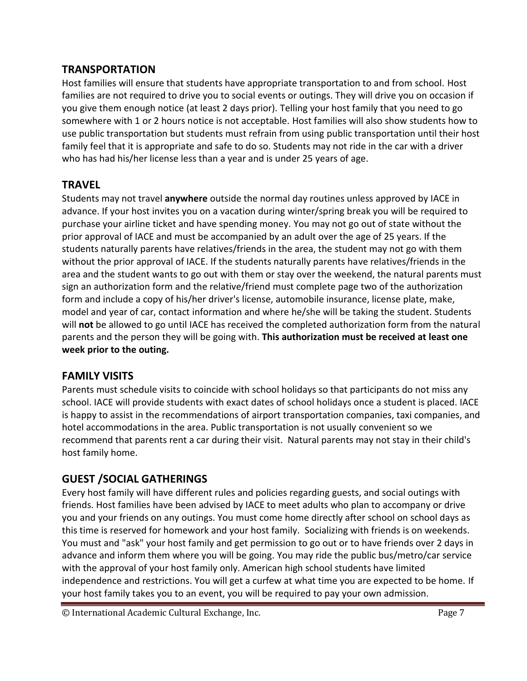#### **TRANSPORTATION**

Host families will ensure that students have appropriate transportation to and from school. Host families are not required to drive you to social events or outings. They will drive you on occasion if you give them enough notice (at least 2 days prior). Telling your host family that you need to go somewhere with 1 or 2 hours notice is not acceptable. Host families will also show students how to use public transportation but students must refrain from using public transportation until their host family feel that it is appropriate and safe to do so. Students may not ride in the car with a driver who has had his/her license less than a year and is under 25 years of age.

#### **TRAVEL**

Students may not travel **anywhere** outside the normal day routines unless approved by IACE in advance. If your host invites you on a vacation during winter/spring break you will be required to purchase your airline ticket and have spending money. You may not go out of state without the prior approval of IACE and must be accompanied by an adult over the age of 25 years. If the students naturally parents have relatives/friends in the area, the student may not go with them without the prior approval of IACE. If the students naturally parents have relatives/friends in the area and the student wants to go out with them or stay over the weekend, the natural parents must sign an authorization form and the relative/friend must complete page two of the authorization form and include a copy of his/her driver's license, automobile insurance, license plate, make, model and year of car, contact information and where he/she will be taking the student. Students will **not** be allowed to go until IACE has received the completed authorization form from the natural parents and the person they will be going with. **This authorization must be received at least one week prior to the outing.**

#### **FAMILY VISITS**

Parents must schedule visits to coincide with school holidays so that participants do not miss any school. IACE will provide students with exact dates of school holidays once a student is placed. IACE is happy to assist in the recommendations of airport transportation companies, taxi companies, and hotel accommodations in the area. Public transportation is not usually convenient so we recommend that parents rent a car during their visit. Natural parents may not stay in their child's host family home.

# **GUEST /SOCIAL GATHERINGS**

Every host family will have different rules and policies regarding guests, and social outings with friends. Host families have been advised by IACE to meet adults who plan to accompany or drive you and your friends on any outings. You must come home directly after school on school days as this time is reserved for homework and your host family. Socializing with friends is on weekends. You must and "ask" your host family and get permission to go out or to have friends over 2 days in advance and inform them where you will be going. You may ride the public bus/metro/car service with the approval of your host family only. American high school students have limited independence and restrictions. You will get a curfew at what time you are expected to be home. If your host family takes you to an event, you will be required to pay your own admission.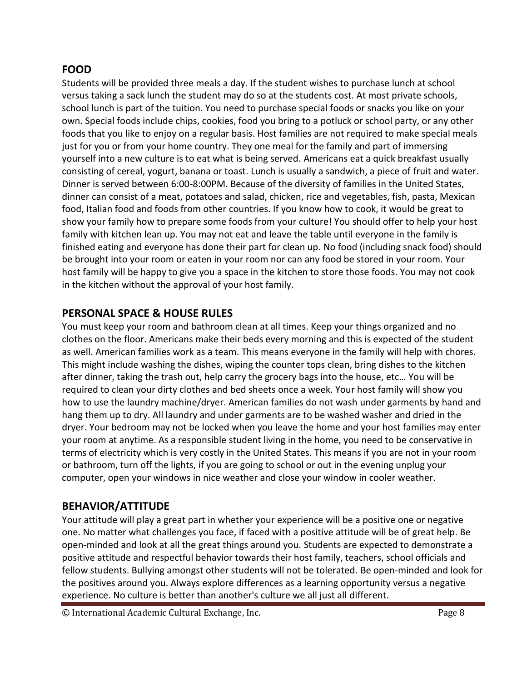#### **FOOD**

Students will be provided three meals a day. If the student wishes to purchase lunch at school versus taking a sack lunch the student may do so at the students cost. At most private schools, school lunch is part of the tuition. You need to purchase special foods or snacks you like on your own. Special foods include chips, cookies, food you bring to a potluck or school party, or any other foods that you like to enjoy on a regular basis. Host families are not required to make special meals just for you or from your home country. They one meal for the family and part of immersing yourself into a new culture is to eat what is being served. Americans eat a quick breakfast usually consisting of cereal, yogurt, banana or toast. Lunch is usually a sandwich, a piece of fruit and water. Dinner is served between 6:00-8:00PM. Because of the diversity of families in the United States, dinner can consist of a meat, potatoes and salad, chicken, rice and vegetables, fish, pasta, Mexican food, Italian food and foods from other countries. If you know how to cook, it would be great to show your family how to prepare some foods from your culture! You should offer to help your host family with kitchen lean up. You may not eat and leave the table until everyone in the family is finished eating and everyone has done their part for clean up. No food (including snack food) should be brought into your room or eaten in your room nor can any food be stored in your room. Your host family will be happy to give you a space in the kitchen to store those foods. You may not cook in the kitchen without the approval of your host family.

#### **PERSONAL SPACE & HOUSE RULES**

You must keep your room and bathroom clean at all times. Keep your things organized and no clothes on the floor. Americans make their beds every morning and this is expected of the student as well. American families work as a team. This means everyone in the family will help with chores. This might include washing the dishes, wiping the counter tops clean, bring dishes to the kitchen after dinner, taking the trash out, help carry the grocery bags into the house, etc… You will be required to clean your dirty clothes and bed sheets once a week. Your host family will show you how to use the laundry machine/dryer. American families do not wash under garments by hand and hang them up to dry. All laundry and under garments are to be washed washer and dried in the dryer. Your bedroom may not be locked when you leave the home and your host families may enter your room at anytime. As a responsible student living in the home, you need to be conservative in terms of electricity which is very costly in the United States. This means if you are not in your room or bathroom, turn off the lights, if you are going to school or out in the evening unplug your computer, open your windows in nice weather and close your window in cooler weather.

#### **BEHAVIOR/ATTITUDE**

Your attitude will play a great part in whether your experience will be a positive one or negative one. No matter what challenges you face, if faced with a positive attitude will be of great help. Be open-minded and look at all the great things around you. Students are expected to demonstrate a positive attitude and respectful behavior towards their host family, teachers, school officials and fellow students. Bullying amongst other students will not be tolerated. Be open-minded and look for the positives around you. Always explore differences as a learning opportunity versus a negative experience. No culture is better than another's culture we all just all different.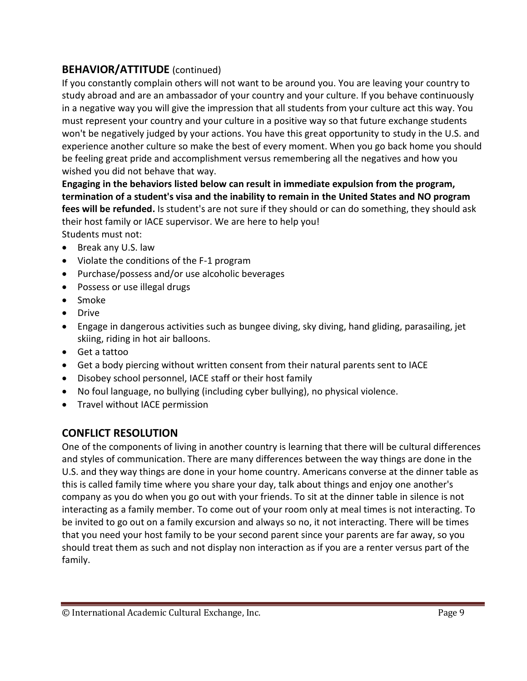#### **BEHAVIOR/ATTITUDE** (continued)

If you constantly complain others will not want to be around you. You are leaving your country to study abroad and are an ambassador of your country and your culture. If you behave continuously in a negative way you will give the impression that all students from your culture act this way. You must represent your country and your culture in a positive way so that future exchange students won't be negatively judged by your actions. You have this great opportunity to study in the U.S. and experience another culture so make the best of every moment. When you go back home you should be feeling great pride and accomplishment versus remembering all the negatives and how you wished you did not behave that way.

**Engaging in the behaviors listed below can result in immediate expulsion from the program, termination of a student's visa and the inability to remain in the United States and NO program fees will be refunded.** Is student's are not sure if they should or can do something, they should ask their host family or IACE supervisor. We are here to help you! Students must not:

- Break any U.S. law
- Violate the conditions of the F-1 program
- Purchase/possess and/or use alcoholic beverages
- Possess or use illegal drugs
- Smoke
- Drive
- Engage in dangerous activities such as bungee diving, sky diving, hand gliding, parasailing, jet skiing, riding in hot air balloons.
- Get a tattoo
- Get a body piercing without written consent from their natural parents sent to IACE
- Disobey school personnel, IACE staff or their host family
- No foul language, no bullying (including cyber bullying), no physical violence.
- Travel without IACE permission

#### **CONFLICT RESOLUTION**

One of the components of living in another country is learning that there will be cultural differences and styles of communication. There are many differences between the way things are done in the U.S. and they way things are done in your home country. Americans converse at the dinner table as this is called family time where you share your day, talk about things and enjoy one another's company as you do when you go out with your friends. To sit at the dinner table in silence is not interacting as a family member. To come out of your room only at meal times is not interacting. To be invited to go out on a family excursion and always so no, it not interacting. There will be times that you need your host family to be your second parent since your parents are far away, so you should treat them as such and not display non interaction as if you are a renter versus part of the family.

<sup>©</sup> International Academic Cultural Exchange, Inc. Page 9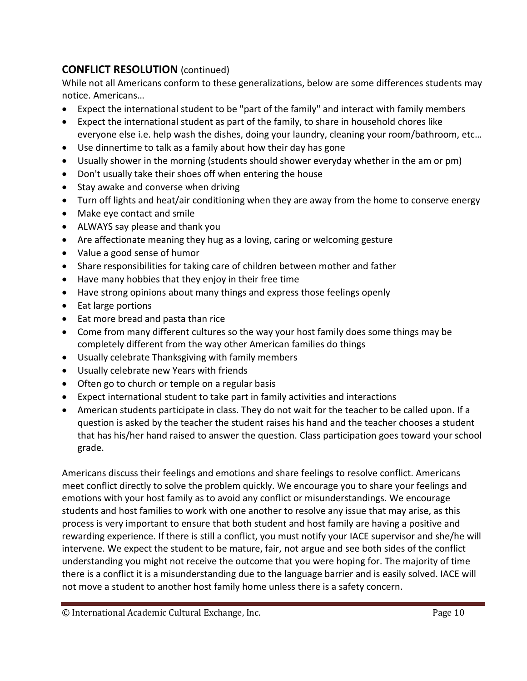#### **CONFLICT RESOLUTION** (continued)

While not all Americans conform to these generalizations, below are some differences students may notice. Americans…

- Expect the international student to be "part of the family" and interact with family members
- Expect the international student as part of the family, to share in household chores like everyone else i.e. help wash the dishes, doing your laundry, cleaning your room/bathroom, etc…
- Use dinnertime to talk as a family about how their day has gone
- Usually shower in the morning (students should shower everyday whether in the am or pm)
- Don't usually take their shoes off when entering the house
- Stay awake and converse when driving
- Turn off lights and heat/air conditioning when they are away from the home to conserve energy
- Make eye contact and smile
- ALWAYS say please and thank you
- Are affectionate meaning they hug as a loving, caring or welcoming gesture
- Value a good sense of humor
- Share responsibilities for taking care of children between mother and father
- Have many hobbies that they enjoy in their free time
- Have strong opinions about many things and express those feelings openly
- Eat large portions
- Eat more bread and pasta than rice
- Come from many different cultures so the way your host family does some things may be completely different from the way other American families do things
- Usually celebrate Thanksgiving with family members
- Usually celebrate new Years with friends
- Often go to church or temple on a regular basis
- Expect international student to take part in family activities and interactions
- American students participate in class. They do not wait for the teacher to be called upon. If a question is asked by the teacher the student raises his hand and the teacher chooses a student that has his/her hand raised to answer the question. Class participation goes toward your school grade.

Americans discuss their feelings and emotions and share feelings to resolve conflict. Americans meet conflict directly to solve the problem quickly. We encourage you to share your feelings and emotions with your host family as to avoid any conflict or misunderstandings. We encourage students and host families to work with one another to resolve any issue that may arise, as this process is very important to ensure that both student and host family are having a positive and rewarding experience. If there is still a conflict, you must notify your IACE supervisor and she/he will intervene. We expect the student to be mature, fair, not argue and see both sides of the conflict understanding you might not receive the outcome that you were hoping for. The majority of time there is a conflict it is a misunderstanding due to the language barrier and is easily solved. IACE will not move a student to another host family home unless there is a safety concern.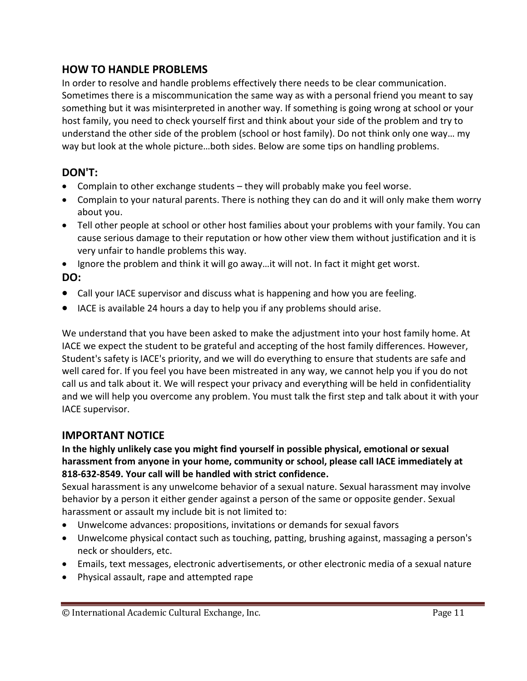#### **HOW TO HANDLE PROBLEMS**

In order to resolve and handle problems effectively there needs to be clear communication. Sometimes there is a miscommunication the same way as with a personal friend you meant to say something but it was misinterpreted in another way. If something is going wrong at school or your host family, you need to check yourself first and think about your side of the problem and try to understand the other side of the problem (school or host family). Do not think only one way… my way but look at the whole picture…both sides. Below are some tips on handling problems.

#### **DON'T:**

- Complain to other exchange students they will probably make you feel worse.
- Complain to your natural parents. There is nothing they can do and it will only make them worry about you.
- Tell other people at school or other host families about your problems with your family. You can cause serious damage to their reputation or how other view them without justification and it is very unfair to handle problems this way.

• Ignore the problem and think it will go away...it will not. In fact it might get worst. **DO:**

- Call your IACE supervisor and discuss what is happening and how you are feeling.
- IACE is available 24 hours a day to help you if any problems should arise.

We understand that you have been asked to make the adjustment into your host family home. At IACE we expect the student to be grateful and accepting of the host family differences. However, Student's safety is IACE's priority, and we will do everything to ensure that students are safe and well cared for. If you feel you have been mistreated in any way, we cannot help you if you do not call us and talk about it. We will respect your privacy and everything will be held in confidentiality and we will help you overcome any problem. You must talk the first step and talk about it with your IACE supervisor.

#### **IMPORTANT NOTICE**

#### **In the highly unlikely case you might find yourself in possible physical, emotional or sexual harassment from anyone in your home, community or school, please call IACE immediately at 818-632-8549. Your call will be handled with strict confidence.**

Sexual harassment is any unwelcome behavior of a sexual nature. Sexual harassment may involve behavior by a person it either gender against a person of the same or opposite gender. Sexual harassment or assault my include bit is not limited to:

- Unwelcome advances: propositions, invitations or demands for sexual favors
- Unwelcome physical contact such as touching, patting, brushing against, massaging a person's neck or shoulders, etc.
- Emails, text messages, electronic advertisements, or other electronic media of a sexual nature
- Physical assault, rape and attempted rape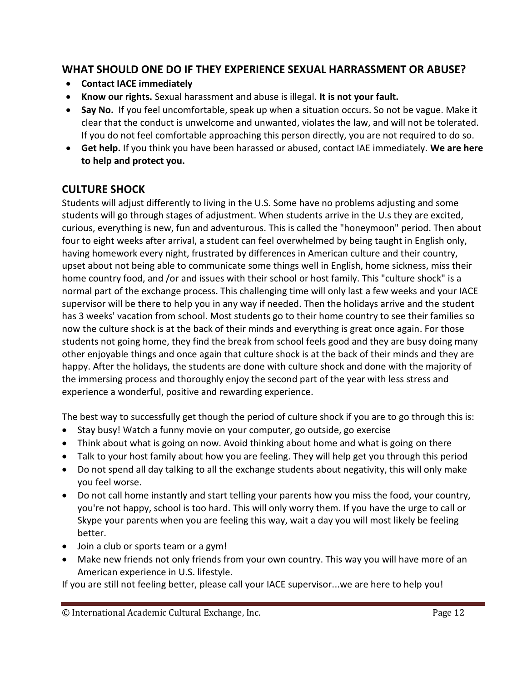#### **WHAT SHOULD ONE DO IF THEY EXPERIENCE SEXUAL HARRASSMENT OR ABUSE?**

- **Contact IACE immediately**
- **Know our rights.** Sexual harassment and abuse is illegal. **It is not your fault.**
- **Say No.** If you feel uncomfortable, speak up when a situation occurs. So not be vague. Make it clear that the conduct is unwelcome and unwanted, violates the law, and will not be tolerated. If you do not feel comfortable approaching this person directly, you are not required to do so.
- **Get help.** If you think you have been harassed or abused, contact IAE immediately. **We are here to help and protect you.**

#### **CULTURE SHOCK**

Students will adjust differently to living in the U.S. Some have no problems adjusting and some students will go through stages of adjustment. When students arrive in the U.s they are excited, curious, everything is new, fun and adventurous. This is called the "honeymoon" period. Then about four to eight weeks after arrival, a student can feel overwhelmed by being taught in English only, having homework every night, frustrated by differences in American culture and their country, upset about not being able to communicate some things well in English, home sickness, miss their home country food, and /or and issues with their school or host family. This "culture shock" is a normal part of the exchange process. This challenging time will only last a few weeks and your IACE supervisor will be there to help you in any way if needed. Then the holidays arrive and the student has 3 weeks' vacation from school. Most students go to their home country to see their families so now the culture shock is at the back of their minds and everything is great once again. For those students not going home, they find the break from school feels good and they are busy doing many other enjoyable things and once again that culture shock is at the back of their minds and they are happy. After the holidays, the students are done with culture shock and done with the majority of the immersing process and thoroughly enjoy the second part of the year with less stress and experience a wonderful, positive and rewarding experience.

The best way to successfully get though the period of culture shock if you are to go through this is:

- Stay busy! Watch a funny movie on your computer, go outside, go exercise
- Think about what is going on now. Avoid thinking about home and what is going on there
- Talk to your host family about how you are feeling. They will help get you through this period
- Do not spend all day talking to all the exchange students about negativity, this will only make you feel worse.
- Do not call home instantly and start telling your parents how you miss the food, your country, you're not happy, school is too hard. This will only worry them. If you have the urge to call or Skype your parents when you are feeling this way, wait a day you will most likely be feeling better.
- Join a club or sports team or a gym!
- Make new friends not only friends from your own country. This way you will have more of an American experience in U.S. lifestyle.

If you are still not feeling better, please call your IACE supervisor...we are here to help you!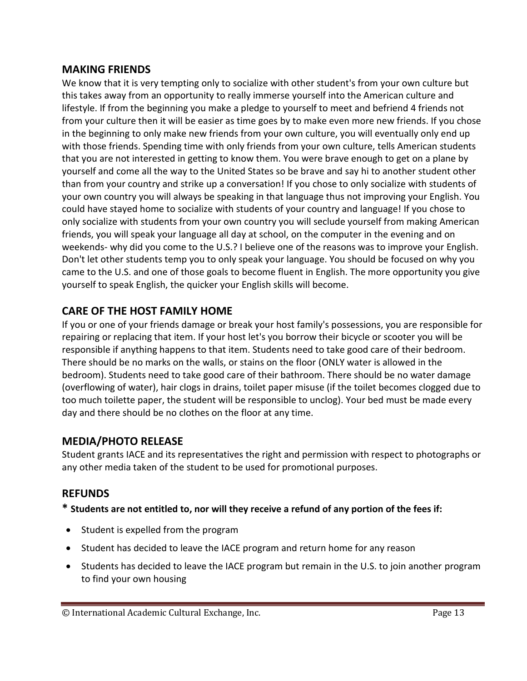#### **MAKING FRIENDS**

We know that it is very tempting only to socialize with other student's from your own culture but this takes away from an opportunity to really immerse yourself into the American culture and lifestyle. If from the beginning you make a pledge to yourself to meet and befriend 4 friends not from your culture then it will be easier as time goes by to make even more new friends. If you chose in the beginning to only make new friends from your own culture, you will eventually only end up with those friends. Spending time with only friends from your own culture, tells American students that you are not interested in getting to know them. You were brave enough to get on a plane by yourself and come all the way to the United States so be brave and say hi to another student other than from your country and strike up a conversation! If you chose to only socialize with students of your own country you will always be speaking in that language thus not improving your English. You could have stayed home to socialize with students of your country and language! If you chose to only socialize with students from your own country you will seclude yourself from making American friends, you will speak your language all day at school, on the computer in the evening and on weekends- why did you come to the U.S.? I believe one of the reasons was to improve your English. Don't let other students temp you to only speak your language. You should be focused on why you came to the U.S. and one of those goals to become fluent in English. The more opportunity you give yourself to speak English, the quicker your English skills will become.

### **CARE OF THE HOST FAMILY HOME**

If you or one of your friends damage or break your host family's possessions, you are responsible for repairing or replacing that item. If your host let's you borrow their bicycle or scooter you will be responsible if anything happens to that item. Students need to take good care of their bedroom. There should be no marks on the walls, or stains on the floor (ONLY water is allowed in the bedroom). Students need to take good care of their bathroom. There should be no water damage (overflowing of water), hair clogs in drains, toilet paper misuse (if the toilet becomes clogged due to too much toilette paper, the student will be responsible to unclog). Your bed must be made every day and there should be no clothes on the floor at any time.

#### **MEDIA/PHOTO RELEASE**

Student grants IACE and its representatives the right and permission with respect to photographs or any other media taken of the student to be used for promotional purposes.

#### **REFUNDS**

**\* Students are not entitled to, nor will they receive a refund of any portion of the fees if:** 

- Student is expelled from the program
- Student has decided to leave the IACE program and return home for any reason
- Students has decided to leave the IACE program but remain in the U.S. to join another program to find your own housing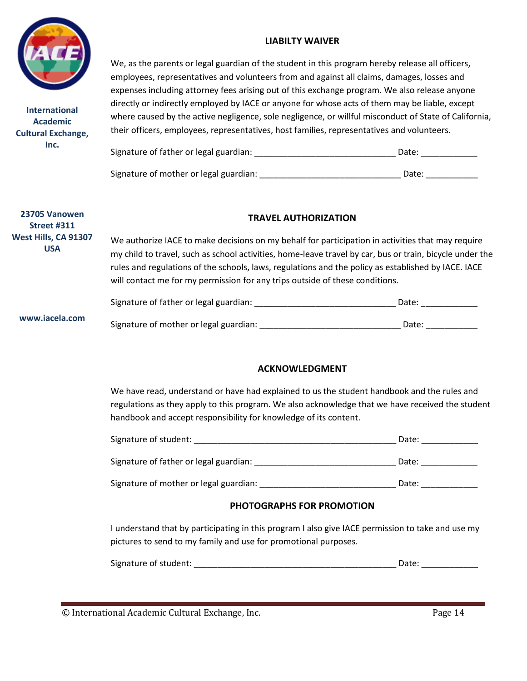

**International Academic Cultural Exchange, Inc.**

#### **LIABILTY WAIVER**

We, as the parents or legal guardian of the student in this program hereby release all officers, employees, representatives and volunteers from and against all claims, damages, losses and expenses including attorney fees arising out of this exchange program. We also release anyone directly or indirectly employed by IACE or anyone for whose acts of them may be liable, except where caused by the active negligence, sole negligence, or willful misconduct of State of California, their officers, employees, representatives, host families, representatives and volunteers.

| Signature of father or legal guardian: | Date: |       |
|----------------------------------------|-------|-------|
| Signature of mother or legal guardian: |       | Date: |

| 23705 Vanowen<br>Street #311       | <b>TRAVEL AUTHORIZATION</b>                                                                                                                                                                                                                                                                                                                                                                          |       |  |
|------------------------------------|------------------------------------------------------------------------------------------------------------------------------------------------------------------------------------------------------------------------------------------------------------------------------------------------------------------------------------------------------------------------------------------------------|-------|--|
| West Hills, CA 91307<br><b>USA</b> | We authorize IACE to make decisions on my behalf for participation in activities that may require<br>my child to travel, such as school activities, home-leave travel by car, bus or train, bicycle under the<br>rules and regulations of the schools, laws, regulations and the policy as established by IACE. IACE<br>will contact me for my permission for any trips outside of these conditions. |       |  |
|                                    | Signature of father or legal guardian:                                                                                                                                                                                                                                                                                                                                                               | Date: |  |
| www.iacela.com                     | Signature of mother or legal guardian:                                                                                                                                                                                                                                                                                                                                                               | Date: |  |

#### **ACKNOWLEDGMENT**

We have read, understand or have had explained to us the student handbook and the rules and regulations as they apply to this program. We also acknowledge that we have received the student handbook and accept responsibility for knowledge of its content.

| Signature of student:                  | Date: |
|----------------------------------------|-------|
| Signature of father or legal guardian: | Date: |
| Signature of mother or legal guardian: | Date: |

#### **PHOTOGRAPHS FOR PROMOTION**

I understand that by participating in this program I also give IACE permission to take and use my pictures to send to my family and use for promotional purposes.

| Signature of student: |  |  |
|-----------------------|--|--|
|                       |  |  |